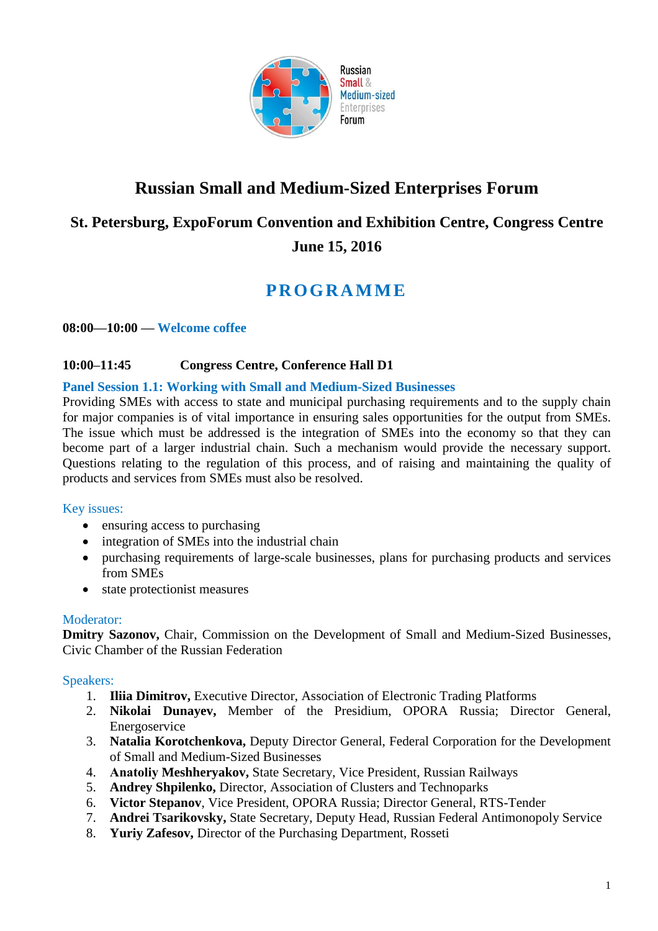

# **Russian Small and Medium-Sized Enterprises Forum**

# **St. Petersburg, ExpoForum Convention and Exhibition Centre, Congress Centre June 15, 2016**

# **P R OGR A M M E**

## **08:00—10:00 — Welcome coffee**

# **10:00–11:45 Congress Centre, Conference Hall D1**

## **Panel Session 1.1: Working with Small and Medium-Sized Businesses**

Providing SMEs with access to state and municipal purchasing requirements and to the supply chain for major companies is of vital importance in ensuring sales opportunities for the output from SMEs. The issue which must be addressed is the integration of SMEs into the economy so that they can become part of a larger industrial chain. Such a mechanism would provide the necessary support. Questions relating to the regulation of this process, and of raising and maintaining the quality of products and services from SMEs must also be resolved.

#### Key issues:

- ensuring access to purchasing
- integration of SMEs into the industrial chain
- purchasing requirements of large-scale businesses, plans for purchasing products and services from SMEs
- state protectionist measures

## Moderator:

**Dmitry Sazonov,** Chair, Commission on the Development of Small and Medium-Sized Businesses, Civic Chamber of the Russian Federation

## Speakers:

- 1. **Iliia Dimitrov,** Executive Director, Association of Electronic Trading Platforms
- 2. **Nikolai Dunayev,** Member of the Presidium, OPORA Russia; Director General, Energoservice
- 3. **Natalia Korotchenkova,** Deputy Director General, Federal Corporation for the Development of Small and Medium-Sized Businesses
- 4. **Аnatoliy Meshheryakov,** State Secretary, Vice President, Russian Railways
- 5. **Andrey Shpilenko,** Director, Association of Clusters and Technoparks
- 6. **Victor Stepanov**, Vice President, OPORA Russia; Director General, RTS-Tender
- 7. **Andrei Tsarikovsky,** State Secretary, Deputy Head, Russian Federal Antimonopoly Service
- 8. **Yuriy Zafesov,** Director of the Purchasing Department, Rosseti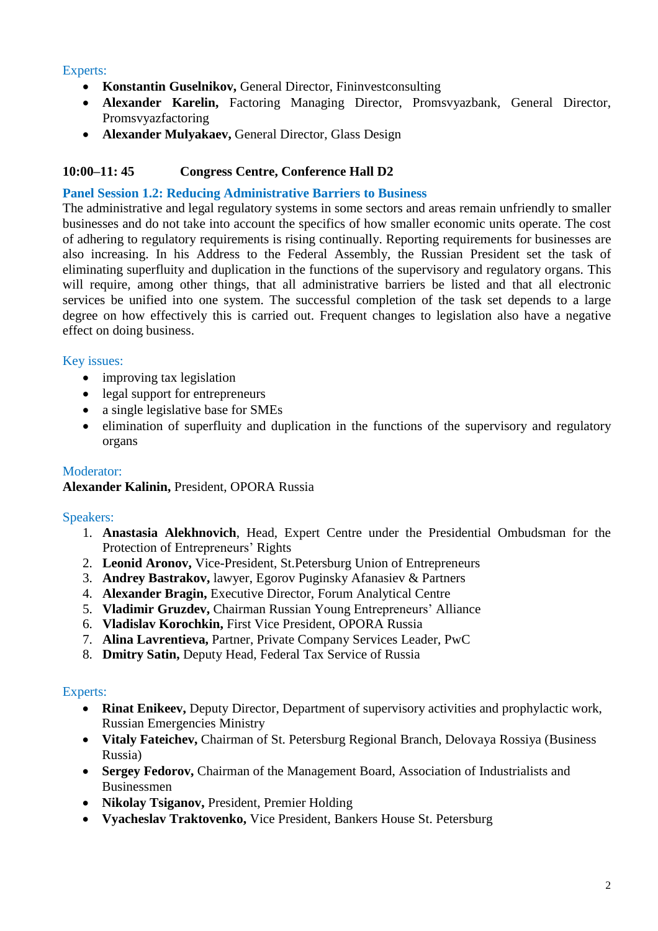## Experts:

- **Konstantin Guselnikov,** General Director, Fininvestconsulting
- **Alexander Karelin,** Factoring Managing Director, Promsvyazbank, General Director, Promsvyazfactoring
- **Alexander Mulyakaev,** General Director, Glass Design

# **10:00–11: 45 Congress Centre, Conference Hall D2**

#### **Panel Session 1.2: Reducing Administrative Barriers to Business**

The administrative and legal regulatory systems in some sectors and areas remain unfriendly to smaller businesses and do not take into account the specifics of how smaller economic units operate. The cost of adhering to regulatory requirements is rising continually. Reporting requirements for businesses are also increasing. In his Address to the Federal Assembly, the Russian President set the task of eliminating superfluity and duplication in the functions of the supervisory and regulatory organs. This will require, among other things, that all administrative barriers be listed and that all electronic services be unified into one system. The successful completion of the task set depends to a large degree on how effectively this is carried out. Frequent changes to legislation also have a negative effect on doing business.

## Key issues:

- improving tax legislation
- legal support for entrepreneurs
- a single legislative base for SMEs
- elimination of superfluity and duplication in the functions of the supervisory and regulatory organs

# Moderator: **Alexander Kalinin,** President, OPORA Russia

## Speakers:

- 1. **Anastasia Alekhnovich**, Head, Expert Centre under the Presidential Ombudsman for the Protection of Entrepreneurs' Rights
- 2. **Leonid Aronov,** Vice-President, St.Petersburg Union of Entrepreneurs
- 3. **Andrey Bastrakov,** lawyer, Egorov Puginsky Afanasiev & Partners
- 4. **Alexander Bragin,** Executive Director, Forum Analytical Centre
- 5. **Vladimir Gruzdev,** Chairman Russian Young Entrepreneurs' Alliance
- 6. **Vladislav Korochkin,** First Vice President, OPORA Russia
- 7. **Alina Lavrentieva,** Partner, Private Company Services Leader, PwC
- 8. **Dmitry Satin,** Deputy Head, Federal Tax Service of Russia

- **Rinat Enikeev,** Deputy Director, Department of supervisory activities and prophylactic work, Russian Emergencies Ministry
- **Vitaly Fateichev,** Chairman of St. Petersburg Regional Branch, Delovaya Rossiya (Business Russia)
- **Sergey Fedorov,** Chairman of the Management Board, Association of Industrialists and Businessmen
- **Nikolay Tsiganov,** President, Premier Holding
- **Vyacheslav Traktovenko,** Vice President, Bankers House St. Petersburg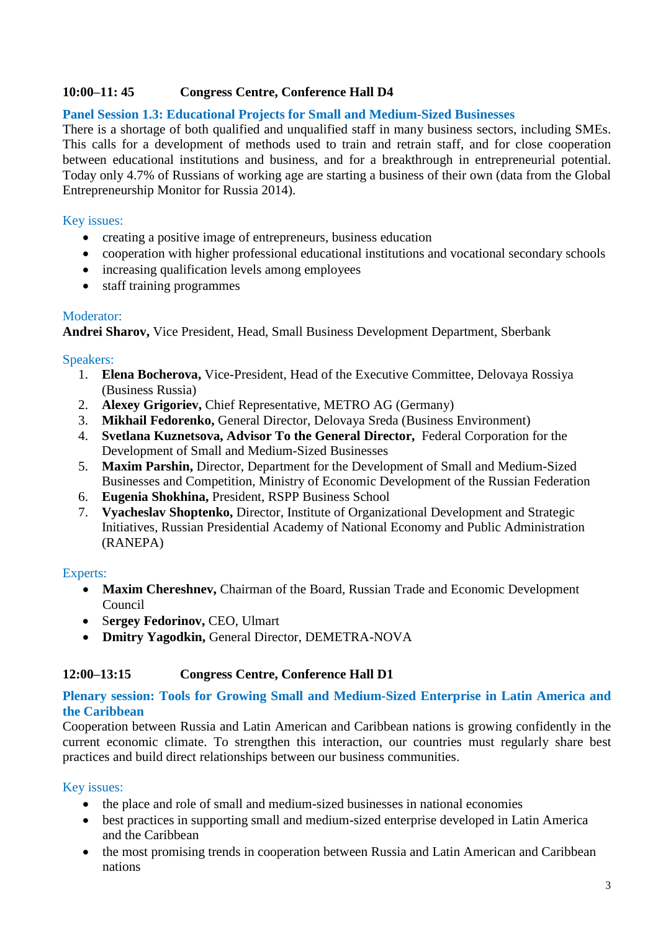## **10:00–11: 45 Congress Centre, Conference Hall D4**

#### **Panel Session 1.3: Educational Projects for Small and Medium-Sized Businesses**

There is a shortage of both qualified and unqualified staff in many business sectors, including SMEs. This calls for a development of methods used to train and retrain staff, and for close cooperation between educational institutions and business, and for a breakthrough in entrepreneurial potential. Today only 4.7% of Russians of working age are starting a business of their own (data from the Global Entrepreneurship Monitor for Russia 2014).

#### Key issues:

- creating a positive image of entrepreneurs, business education
- cooperation with higher professional educational institutions and vocational secondary schools
- increasing qualification levels among employees
- staff training programmes

#### Moderator:

**Andrei Sharov,** Vice President, Head, Small Business Development Department, Sberbank

#### Speakers:

- 1. **Elena Bocherova,** Vice-President, Head of the Executive Committee, Delovaya Rossiya (Business Russia)
- 2. **Alexey Grigoriev,** Chief Representative, METRO AG (Germany)
- 3. **Mikhail Fedorenko,** General Director, Delovaya Sreda (Business Environment)
- 4. **Svetlana Kuznetsova, Advisor To the General Director,** Federal Corporation for the Development of Small and Medium-Sized Businesses
- 5. **Maxim Parshin,** Director, Department for the Development of Small and Medium-Sized Businesses and Competition, Ministry of Economic Development of the Russian Federation
- 6. **Eugenia Shokhina,** President, RSPP Business School
- 7. **Vyacheslav Shoptenko,** Director, Institute of Organizational Development and Strategic Initiatives, Russian Presidential Academy of National Economy and Public Administration (RANEPA)

## Experts:

- **Maxim Chereshnev,** Chairman of the Board, Russian Trade and Economic Development Council
- S**ergey Fedorinov,** CEO, Ulmart
- **Dmitry Yagodkin,** General Director, DEMETRA-NOVA

## **12:00–13:15 Congress Centre, Conference Hall D1**

#### **Plenary session: Tools for Growing Small and Medium-Sized Enterprise in Latin America and the Caribbean**

Cooperation between Russia and Latin American and Caribbean nations is growing confidently in the current economic climate. To strengthen this interaction, our countries must regularly share best practices and build direct relationships between our business communities.

#### Key issues:

- the place and role of small and medium-sized businesses in national economies
- best practices in supporting small and medium-sized enterprise developed in Latin America and the Caribbean
- the most promising trends in cooperation between Russia and Latin American and Caribbean nations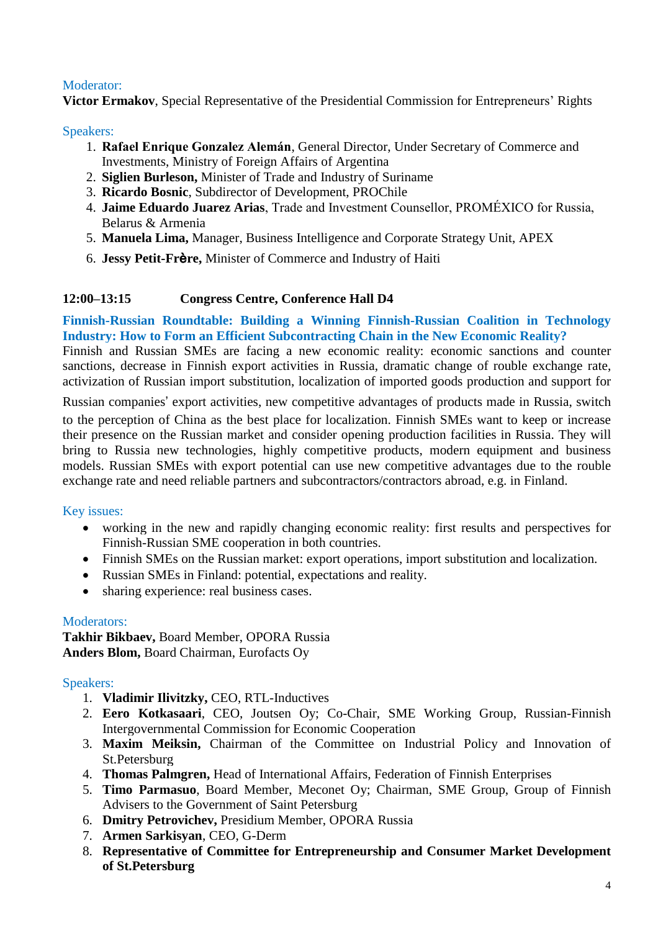# Moderator:

**Victor Ermakov**, Special Representative of the Presidential Commission for Entrepreneurs' Rights

## Speakers:

- 1. **Rafael Enrique Gonzalez Alemán**, General Director, Under Secretary of Commerce and Investments, Ministry of Foreign Affairs of Argentina
- 2. **Siglien Burleson,** Minister of Trade and Industry of Suriname
- 3. **Ricardo Bosnic**, Subdirector of Development, PROChile
- 4. **Jaime Eduardo Juarez Arias**, Trade and Investment Counsellor, PROMÉXICO for Russia, Belarus & Armenia
- 5. **Manuela Lima,** Manager, Business Intelligence and Corporate Strategy Unit, APEX
- 6. **Jessy Petit-Fr**è**re,** Minister of Commerce and Industry of Haiti

# **12:00–13:15 Congress Centre, Conference Hall D4**

**Finnish-Russian Roundtable: Building a Winning Finnish-Russian Coalition in Technology Industry: How to Form an Efficient Subcontracting Chain in the New Economic Reality?**

Finnish and Russian SMEs are facing a new economic reality: economic sanctions and counter sanctions, decrease in Finnish export activities in Russia, dramatic change of rouble exchange rate, activization of Russian import substitution, localization of imported goods production and support for

Russian companies' export activities, new competitive advantages of products made in Russia, switch

to the perception of China as the best place for localization. Finnish SMEs want to keep or increase their presence on the Russian market and consider opening production facilities in Russia. They will bring to Russia new technologies, highly competitive products, modern equipment and business models. Russian SMEs with export potential can use new competitive advantages due to the rouble exchange rate and need reliable partners and subcontractors/contractors abroad, e.g. in Finland.

## Key issues:

- working in the new and rapidly changing economic reality: first results and perspectives for Finnish-Russian SME cooperation in both countries.
- Finnish SMEs on the Russian market: export operations, import substitution and localization.
- Russian SMEs in Finland: potential, expectations and reality.
- sharing experience: real business cases.

## Moderators:

**Takhir Bikbaev,** Board Member, OPORA Russia **Anders Blom,** Board Chairman, Eurofacts Oy

## Speakers:

- 1. **Vladimir Ilivitzky,** CEO, RTL-Inductives
- 2. **Eero Kotkasaari**, CEO, Joutsen Oy; Co-Chair, SME Working Group, Russian-Finnish Intergovernmental Commission for Economic Cooperation
- 3. **Maxim Meiksin,** Chairman of the Committee on Industrial Policy and Innovation of St.Petersburg
- 4. **Thomas Palmgren,** Head of International Affairs, Federation of Finnish Enterprises
- 5. **Timo Parmasuo**, Board Member, Meconet Oy; Chairman, SME Group, Group of Finnish Advisers to the Government of Saint Petersburg
- 6. **Dmitry Petrovichev,** Presidium Member, OPORA Russia
- 7. **Armen Sarkisyan**, CEO, G-Derm
- 8. **Representative of Committee for Entrepreneurship and Consumer Market Development of St.Petersburg**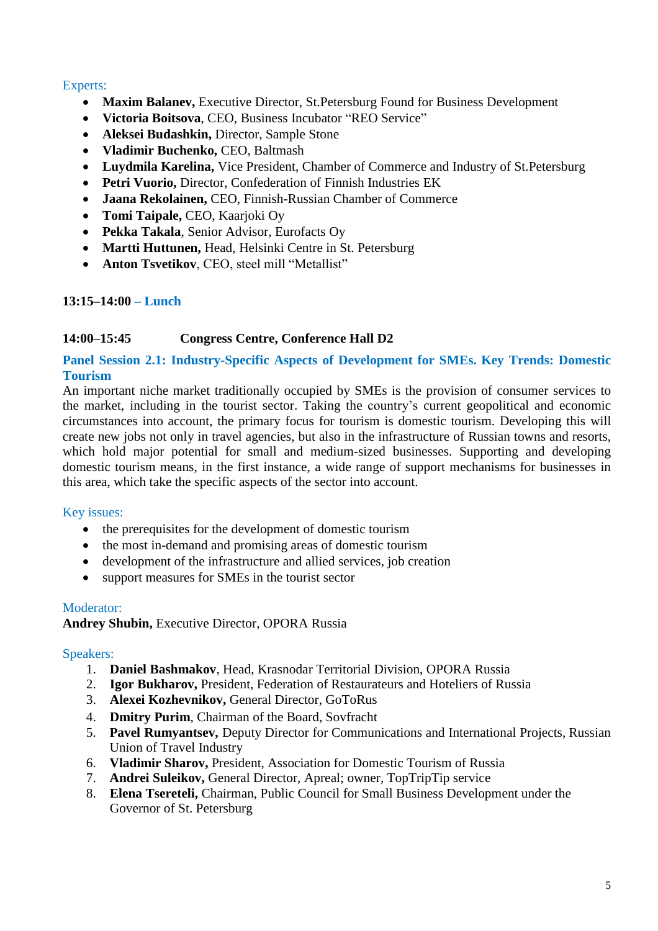## Experts:

- **Maxim Balanev,** Executive Director, St.Petersburg Found for Business Development
- **Victoria Boitsova**, CEO, Business Incubator "REO Service"
- **Aleksei Budashkin,** Director, Sample Stone
- **Vladimir Buchenko,** CEO, Baltmash
- **Luydmila Karelina,** Vice President, Chamber of Commerce and Industry of St.Petersburg
- **Petri Vuorio,** Director, Confederation of Finnish Industries EK
- **Jaana Rekolainen,** CEO, Finnish-Russian Chamber of Commerce
- **Tomi Taipale,** CEO, Kaarjoki Oy
- **Pekka Takala**, Senior Advisor, Eurofacts Oy
- **Martti Huttunen,** Head, Helsinki Centre in St. Petersburg
- **Anton Tsvetikov**, CEO, steel mill "Metallist"

## **13:15–14:00 – Lunch**

## **14:00–15:45 Congress Centre, Conference Hall D2**

#### **Panel Session 2.1: Industry-Specific Aspects of Development for SMEs. Key Trends: Domestic Tourism**

An important niche market traditionally occupied by SMEs is the provision of consumer services to the market, including in the tourist sector. Taking the country's current geopolitical and economic circumstances into account, the primary focus for tourism is domestic tourism. Developing this will create new jobs not only in travel agencies, but also in the infrastructure of Russian towns and resorts, which hold major potential for small and medium-sized businesses. Supporting and developing domestic tourism means, in the first instance, a wide range of support mechanisms for businesses in this area, which take the specific aspects of the sector into account.

## Key issues:

- the prerequisites for the development of domestic tourism
- the most in-demand and promising areas of domestic tourism
- development of the infrastructure and allied services, job creation
- support measures for SMEs in the tourist sector

#### Moderator:

**Andrey Shubin,** Executive Director, OPORA Russia

## Speakers:

- 1. **Daniel Bashmakov**, Head, Krasnodar Territorial Division, OPORA Russia
- 2. **Igor Bukharov,** President, Federation of Restaurateurs and Hoteliers of Russia
- 3. **Alexei Kozhevnikov,** General Director, GoToRus
- 4. **Dmitry Purim**, Chairman of the Board, Sovfracht
- 5. **Pavel Rumyantsev,** Deputy Director for Communications and International Projects, Russian Union of Travel Industry
- 6. **Vladimir Sharov,** President, Association for Domestic Tourism of Russia
- 7. **Andrei Suleikov,** General Director, Apreal; owner, TopTripTip service
- 8. **Elena Tsereteli,** Chairman, Public Council for Small Business Development under the Governor of St. Petersburg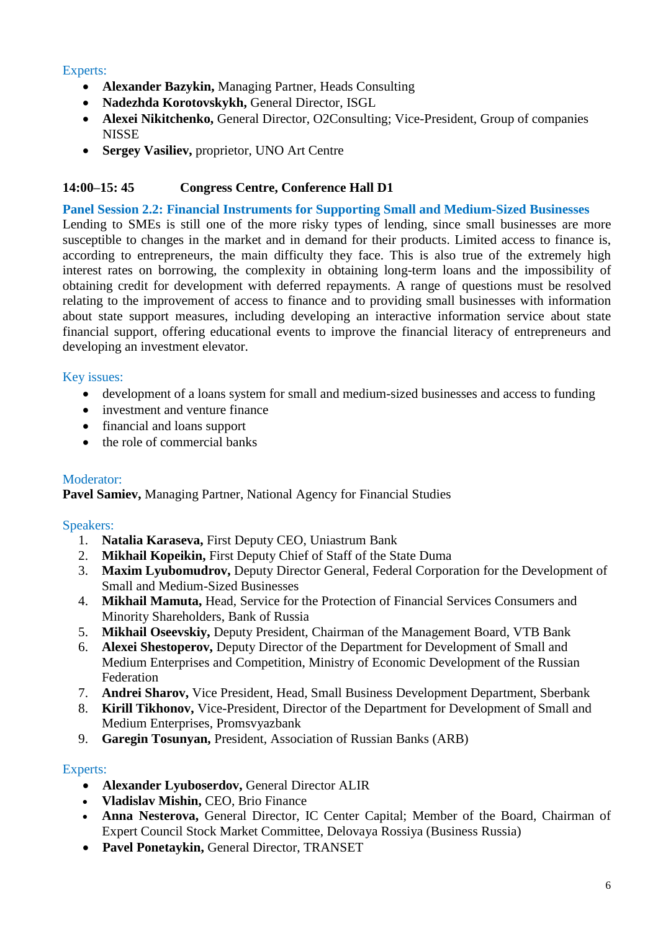# Experts:

- **Alexander Bazykin,** Managing Partner, Heads Consulting
- **Nadezhda Korotovskykh,** General Director, ISGL
- **Alexei Nikitchenko,** General Director, O2Consulting; Vice-President, Group of companies **NISSE**
- **Sergey Vasiliev,** proprietor, UNO Art Centre

# **14:00–15: 45 Congress Centre, Conference Hall D1**

# **Panel Session 2.2: Financial Instruments for Supporting Small and Medium-Sized Businesses**

Lending to SMEs is still one of the more risky types of lending, since small businesses are more susceptible to changes in the market and in demand for their products. Limited access to finance is, according to entrepreneurs, the main difficulty they face. This is also true of the extremely high interest rates on borrowing, the complexity in obtaining long-term loans and the impossibility of obtaining credit for development with deferred repayments. A range of questions must be resolved relating to the improvement of access to finance and to providing small businesses with information about state support measures, including developing an interactive information service about state financial support, offering educational events to improve the financial literacy of entrepreneurs and developing an investment elevator.

# Key issues:

- development of a loans system for small and medium-sized businesses and access to funding
- investment and venture finance
- financial and loans support
- the role of commercial banks

# Moderator:

**Pavel Samiev,** Managing Partner, National Agency for Financial Studies

## Speakers:

- 1. **Natalia Karaseva,** First Deputy CEO, Uniastrum Bank
- 2. **Mikhail Kopeikin,** First Deputy Chief of Staff of the State Duma
- 3. **Maxim Lyubomudrov,** Deputy Director General, Federal Corporation for the Development of Small and Medium-Sized Businesses
- 4. **Mikhail Mamuta,** Head, Service for the Protection of Financial Services Consumers and Minority Shareholders, Bank of Russia
- 5. **Mikhail Oseevskiy,** Deputy President, Chairman of the Management Board, VTB Bank
- 6. **Alexei Shestoperov,** Deputy Director of the Department for Development of Small and Medium Enterprises and Competition, Ministry of Economic Development of the Russian Federation
- 7. **Andrei Sharov,** Vice President, Head, Small Business Development Department, Sberbank
- 8. **Kirill Tikhonov,** Vice-President, Director of the Department for Development of Small and Medium Enterprises, Promsvyazbank
- 9. **Garegin Tosunyan,** President, Association of Russian Banks (ARB)

- **Alexander Lyuboserdov,** General Director ALIR
- **Vladislav Mishin,** CEO, Brio Finance
- **Anna Nesterova,** General Director, IC Center Capital; Member of the Board, Chairman of Expert Council Stock Market Committee, Delovaya Rossiya (Business Russia)
- **Pavel Ponetaykin,** General Director, TRANSET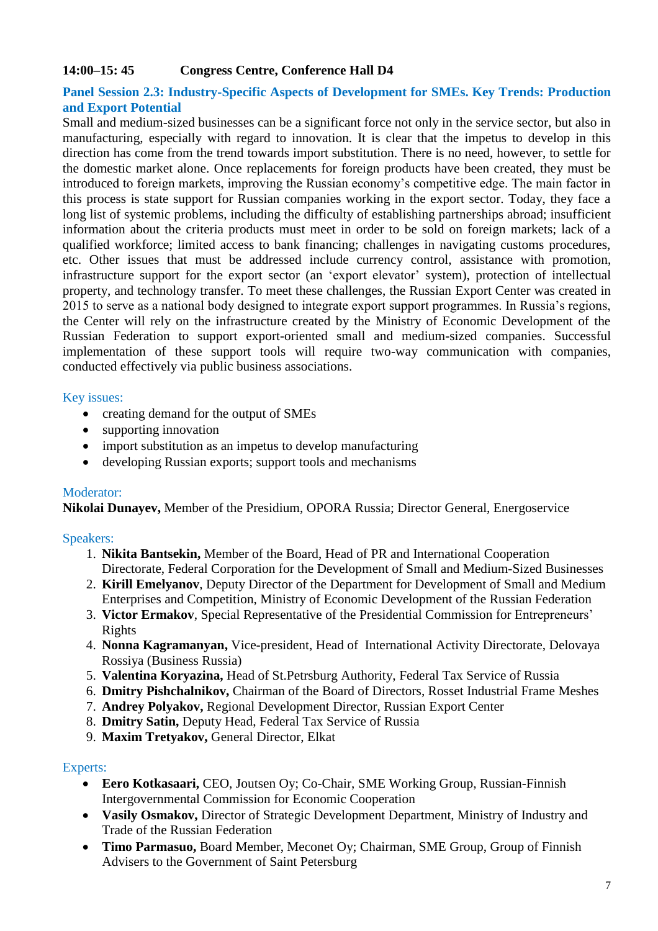# **14:00–15: 45 Congress Centre, Conference Hall D4**

## **Panel Session 2.3: Industry-Specific Aspects of Development for SMEs. Key Trends: Production and Export Potential**

Small and medium-sized businesses can be a significant force not only in the service sector, but also in manufacturing, especially with regard to innovation. It is clear that the impetus to develop in this direction has come from the trend towards import substitution. There is no need, however, to settle for the domestic market alone. Once replacements for foreign products have been created, they must be introduced to foreign markets, improving the Russian economy's competitive edge. The main factor in this process is state support for Russian companies working in the export sector. Today, they face a long list of systemic problems, including the difficulty of establishing partnerships abroad; insufficient information about the criteria products must meet in order to be sold on foreign markets; lack of a qualified workforce; limited access to bank financing; challenges in navigating customs procedures, etc. Other issues that must be addressed include currency control, assistance with promotion, infrastructure support for the export sector (an 'export elevator' system), protection of intellectual property, and technology transfer. To meet these challenges, the Russian Export Center was created in 2015 to serve as a national body designed to integrate export support programmes. In Russia's regions, the Center will rely on the infrastructure created by the Ministry of Economic Development of the Russian Federation to support export-oriented small and medium-sized companies. Successful implementation of these support tools will require two-way communication with companies, conducted effectively via public business associations.

#### Key issues:

- creating demand for the output of SMEs
- supporting innovation
- import substitution as an impetus to develop manufacturing
- developing Russian exports; support tools and mechanisms

#### Moderator:

**Nikolai Dunayev,** Member of the Presidium, OPORA Russia; Director General, Energoservice

## Speakers:

- 1. **Nikita Bantsekin,** Member of the Board, Head of PR and International Cooperation Directorate, Federal Corporation for the Development of Small and Medium-Sized Businesses
- 2. **Kirill Emelyanov**, Deputy Director of the Department for Development of Small and Medium Enterprises and Competition, Ministry of Economic Development of the Russian Federation
- 3. **Victor Ermakov**, Special Representative of the Presidential Commission for Entrepreneurs' Rights
- 4. **Nonna Kagramanyan,** Vice-president, Head of International Activity Directorate, Delovaya Rossiya (Business Russia)
- 5. **Valentina Koryazina,** Head of St.Petrsburg Authority, Federal Tax Service of Russia
- 6. **Dmitry Pishchalnikov,** Chairman of the Board of Directors, Rosset Industrial Frame Meshes
- 7. **Andrey Polyakov,** Regional Development Director, Russian Export Center
- 8. **Dmitry Satin,** Deputy Head, Federal Tax Service of Russia
- 9. **Maxim Tretyakov,** General Director, Elkat

- **Eero Kotkasaari,** CEO, Joutsen Oy; Co-Chair, SME Working Group, Russian-Finnish Intergovernmental Commission for Economic Cooperation
- **Vasily Osmakov,** Director of Strategic Development Department, Ministry of Industry and Trade of the Russian Federation
- **Timo Parmasuo,** Board Member, Meconet Oy; Chairman, SME Group, Group of Finnish Advisers to the Government of Saint Petersburg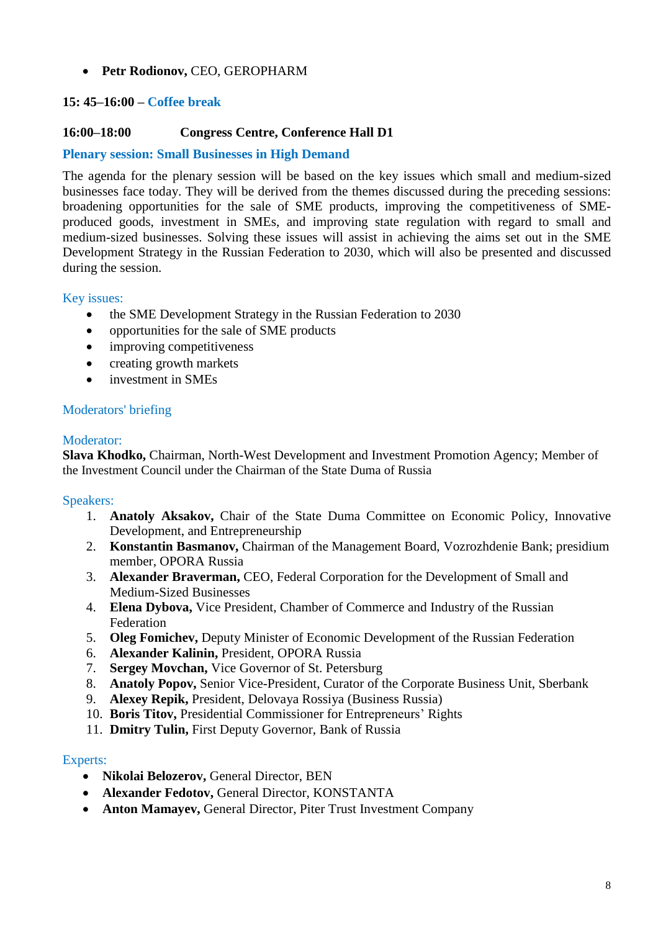**Petr Rodionov,** CEO, GEROPHARM

# **15: 45–16:00 – Coffee break**

## **16:00–18:00 Congress Centre, Conference Hall D1**

## **Plenary session: Small Businesses in High Demand**

The agenda for the plenary session will be based on the key issues which small and medium-sized businesses face today. They will be derived from the themes discussed during the preceding sessions: broadening opportunities for the sale of SME products, improving the competitiveness of SMEproduced goods, investment in SMEs, and improving state regulation with regard to small and medium-sized businesses. Solving these issues will assist in achieving the aims set out in the SME Development Strategy in the Russian Federation to 2030, which will also be presented and discussed during the session.

#### Key issues:

- the SME Development Strategy in the Russian Federation to 2030
- opportunities for the sale of SME products
- improving competitiveness
- creating growth markets
- investment in SME<sub>s</sub>

#### Moderators' briefing

#### Moderator:

**Slava Khodko,** Chairman, North-West Development and Investment Promotion Agency; Member of the Investment Council under the Chairman of the State Duma of Russia

#### Speakers:

- 1. **Anatoly Aksakov,** Chair of the State Duma Committee on Economic Policy, Innovative Development, and Entrepreneurship
- 2. **Konstantin Basmanov,** Chairman of the Management Board, Vozrozhdenie Bank; presidium member, OPORA Russia
- 3. **Alexander Braverman,** CEO, Federal Corporation for the Development of Small and Medium-Sized Businesses
- 4. **Elena Dybova,** Vice President, Chamber of Commerce and Industry of the Russian Federation
- 5. **Oleg Fomichev,** Deputy Minister of Economic Development of the Russian Federation
- 6. **Alexander Kalinin,** President, OPORA Russia
- 7. **Sergey Movchan,** Vice Governor of St. Petersburg
- 8. **Anatoly Popov,** Senior Vice-President, Curator of the Corporate Business Unit, Sberbank
- 9. **Alexey Repik,** President, Delovaya Rossiya (Business Russia)
- 10. **Boris Titov,** Presidential Commissioner for Entrepreneurs' Rights
- 11. **Dmitry Tulin,** First Deputy Governor, Bank of Russia

- **Nikolai Belozerov,** General Director, BEN
- **Alexander Fedotov,** General Director, KONSTANTA
- **Anton Mamayev,** General Director, Piter Trust Investment Company